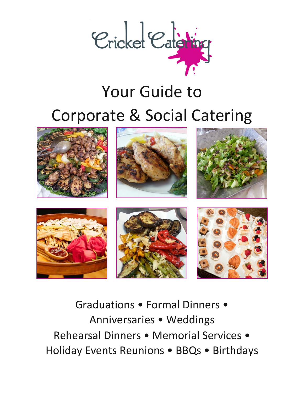

# Your Guide to Corporate & Social Catering



Graduations • Formal Dinners • Anniversaries • Weddings Rehearsal Dinners • Memorial Services • Holiday Events Reunions • BBQs • Birthdays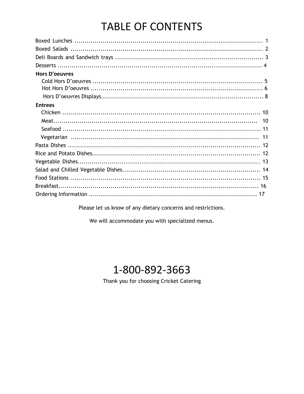## **TABLE OF CONTENTS**

| <b>Hors D'oeuvres</b> |  |
|-----------------------|--|
|                       |  |
|                       |  |
|                       |  |
| <b>Entrees</b>        |  |
|                       |  |
|                       |  |
|                       |  |
|                       |  |
|                       |  |
|                       |  |
|                       |  |
|                       |  |
|                       |  |
|                       |  |
|                       |  |

Please let us know of any dietary concerns and restrictions.

We will accommodate you with specialized menus.

## 1-800-892-3663

Thank you for choosing Cricket Catering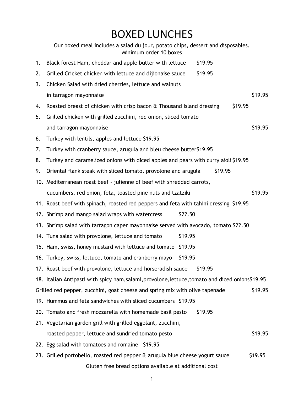## BOXED LUNCHES

|    | Our boxed meal includes a salad du jour, potato chips, dessert and disposables.<br>Minimum order 10 boxes |
|----|-----------------------------------------------------------------------------------------------------------|
| 1. | Black forest Ham, cheddar and apple butter with lettuce<br>\$19.95                                        |
| 2. | Grilled Cricket chicken with lettuce and dijionaise sauce<br>\$19.95                                      |
| 3. | Chicken Salad with dried cherries, lettuce and walnuts                                                    |
|    | \$19.95<br>in tarragon mayonnaise                                                                         |
| 4. | \$19.95<br>Roasted breast of chicken with crisp bacon & Thousand Island dressing                          |
| 5. | Grilled chicken with grilled zucchini, red onion, sliced tomato                                           |
|    | \$19.95<br>and tarragon mayonnaise                                                                        |
| 6. | Turkey with lentils, apples and lettuce \$19.95                                                           |
| 7. | Turkey with cranberry sauce, arugula and bleu cheese butter\$19.95                                        |
| 8. | Turkey and caramelized onions with diced apples and pears with curry aioli \$19.95                        |
| 9. | Oriental flank steak with sliced tomato, provolone and arugula<br>\$19.95                                 |
|    | 10. Mediterranean roast beef - julienne of beef with shredded carrots,                                    |
|    | \$19.95<br>cucumbers, red onion, feta, toasted pine nuts and tzatziki                                     |
|    | 11. Roast beef with spinach, roasted red peppers and feta with tahini dressing \$19.95                    |
|    | \$22.50<br>12. Shrimp and mango salad wraps with watercress                                               |
|    | 13. Shrimp salad with tarragon caper mayonnaise served with avocado, tomato \$22.50                       |
|    | \$19.95<br>14. Tuna salad with provolone, lettuce and tomato                                              |
|    | 15. Ham, swiss, honey mustard with lettuce and tomato<br>\$19.95                                          |
|    | \$19.95<br>16. Turkey, swiss, lettuce, tomato and cranberry mayo                                          |
|    | 17. Roast beef with provolone, lettuce and horseradish sauce<br>\$19.95                                   |
|    | 18. Italian Antipasti with spicy ham, salami, provolone, lettuce, tomato and diced onions\$19.95          |
|    | \$19.95<br>Grilled red pepper, zucchini, goat cheese and spring mix with olive tapenade                   |
|    | 19. Hummus and feta sandwiches with sliced cucumbers \$19.95                                              |
|    | 20. Tomato and fresh mozzarella with homemade basil pesto<br>\$19.95                                      |
|    | 21. Vegetarian garden grill with grilled eggplant, zucchini,                                              |
|    | \$19.95<br>roasted pepper, lettuce and sundried tomato pesto                                              |
|    | 22. Egg salad with tomatoes and romaine \$19.95                                                           |
|    | \$19.95<br>23. Grilled portobello, roasted red pepper & arugula blue cheese yogurt sauce                  |
|    | Gluten free bread options available at additional cost                                                    |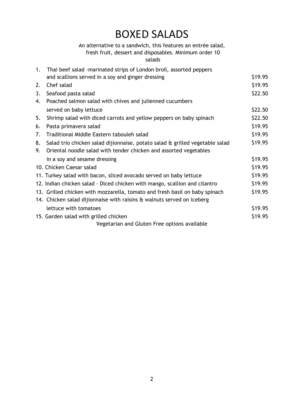## BOXED SALADS

## An alternative to a sandwich, this features an entrée salad,

## fresh fruit, dessert and disposables. Minimum order 10

### salads

| $1_{\cdot}$ | Thai beef salad -marinated strips of London broil, assorted peppers          |         |
|-------------|------------------------------------------------------------------------------|---------|
|             | and scallions served in a soy and ginger dressing                            | \$19.95 |
| 2.          | Chef salad                                                                   | \$19.95 |
| 3.          | Seafood pasta salad                                                          | \$22.50 |
| 4.          | Poached salmon salad with chives and julienned cucumbers                     |         |
|             | served on baby lettuce                                                       | \$22.50 |
| 5.          | Shrimp salad with diced carrots and yellow peppers on baby spinach           | \$22.50 |
| 6.          | Pasta primavera salad                                                        | \$19.95 |
| 7.          | Traditional Middle Eastern tabouleh salad                                    | \$19.95 |
| 8.          | Salad trio chicken salad dijionnaise, potato salad & grilled vegetable salad | \$19.95 |
| 9.          | Oriental noodle salad with tender chicken and assorted vegetables            |         |
|             | in a soy and sesame dressing                                                 | \$19.95 |
|             | 10. Chicken Caesar salad                                                     | \$19.95 |
|             | 11. Turkey salad with bacon, sliced avocado served on baby lettuce           | \$19.95 |
|             | 12. Indian chicken salad - Diced chicken with mango, scallion and cilantro   | \$19.95 |
|             | 13. Grilled chicken with mozzarella, tomato and fresh basil on baby spinach  | \$19.95 |
|             | 14. Chicken salad dijionnaise with raisins & walnuts served on iceberg       |         |
|             | lettuce with tomatoes                                                        | \$19.95 |
|             | 15. Garden salad with grilled chicken                                        | \$19.95 |
|             | Vegetarian and Gluten Free options available                                 |         |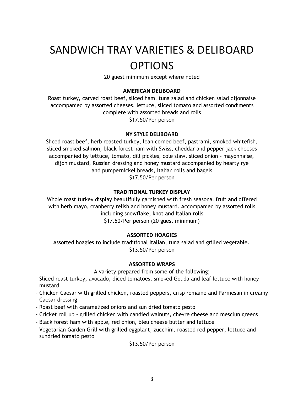## SANDWICH TRAY VARIETIES & DELIBOARD OPTIONS

20 guest minimum except where noted

### **AMERICAN DELIBOARD**

Roast turkey, carved roast beef, sliced ham, tuna salad and chicken salad dijonnaise accompanied by assorted cheeses, lettuce, sliced tomato and assorted condiments complete with assorted breads and rolls \$17.50/Per person

**NY STYLE DELIBOARD**

Sliced roast beef, herb roasted turkey, lean corned beef, pastrami, smoked whitefish, sliced smoked salmon, black forest ham with Swiss, cheddar and pepper jack cheeses accompanied by lettuce, tomato, dill pickles, cole slaw, sliced onion - mayonnaise, dijon mustard, Russian dressing and honey mustard accompanied by hearty rye and pumpernickel breads, Italian rolls and bagels \$17.50/Per person

#### **TRADITIONAL TURKEY DISPLAY**

Whole roast turkey display beautifully garnished with fresh seasonal fruit and offered with herb mayo, cranberry relish and honey mustard. Accompanied by assorted rolls including snowflake, knot and Italian rolls \$17.50/Per person (20 guest minimum)

### **ASSORTED HOAGIES**

Assorted hoagies to include traditional Italian, tuna salad and grilled vegetable. \$13.50/Per person

#### **ASSORTED WRAPS**

A variety prepared from some of the following;

- Sliced roast turkey, avocado, diced tomatoes, smoked Gouda and leaf lettuce with honey mustard
- Chicken Caesar with grilled chicken, roasted peppers, crisp romaine and Parmesan in creamy Caesar dressing
- Roast beef with caramelized onions and sun dried tomato pesto
- Cricket roll up grilled chicken with candied walnuts, chevre cheese and mesclun greens
- Black forest ham with apple, red onion, bleu cheese butter and lettuce
- Vegetarian Garden Grill with grilled eggplant, zucchini, roasted red pepper, lettuce and sundried tomato pesto

### \$13.50/Per person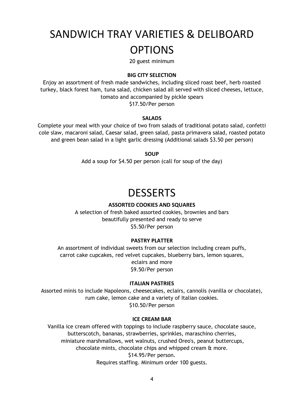## SANDWICH TRAY VARIETIES & DELIBOARD OPTIONS

20 guest minimum

### **BIG CITY SELECTION**

Enjoy an assortment of fresh made sandwiches, including sliced roast beef, herb roasted turkey, black forest ham, tuna salad, chicken salad all served with sliced cheeses, lettuce, tomato and accompanied by pickle spears \$17.50/Per person

#### **SALADS**

Complete your meal with your choice of two from salads of traditional potato salad, confetti cole slaw, macaroni salad, Caesar salad, green salad, pasta primavera salad, roasted potato and green bean salad in a light garlic dressing (Additional salads \$3.50 per person)

**SOUP**

Add a soup for \$4.50 per person (call for soup of the day)

## **DESSERTS**

### **ASSORTED COOKIES AND SQUARES**

A selection of fresh baked assorted cookies, brownies and bars beautifully presented and ready to serve \$5.50/Per person

#### **PASTRY PLATTER**

An assortment of individual sweets from our selection including cream puffs, carrot cake cupcakes, red velvet cupcakes, blueberry bars, lemon squares, eclairs and more \$9.50/Per person

#### **ITALIAN PASTRIES**

Assorted minis to include Napoleons, cheesecakes, eclairs, cannolis (vanilla or chocolate), rum cake, lemon cake and a variety of Italian cookies. \$10.50/Per person

#### **ICE CREAM BAR**

Vanilla ice cream offered with toppings to include raspberry sauce, chocolate sauce, butterscotch, bananas, strawberries, sprinkles, maraschino cherries, miniature marshmallows, wet walnuts, crushed Oreo's, peanut buttercups, chocolate mints, chocolate chips and whipped cream & more. \$14.95/Per person. Requires staffing. Minimum order 100 guests.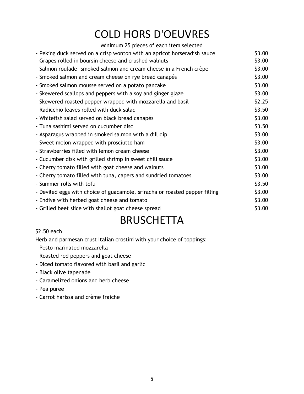## COLD HORS D'OEUVRES

| Minimum 25 pieces of each item selected                                     |        |
|-----------------------------------------------------------------------------|--------|
| - Peking duck served on a crisp wonton with an apricot horseradish sauce    | \$3.00 |
| - Grapes rolled in boursin cheese and crushed walnuts                       | \$3.00 |
| - Salmon roulade -smoked salmon and cream cheese in a French crêpe          | \$3.00 |
| - Smoked salmon and cream cheese on rye bread canapés                       | \$3.00 |
| - Smoked salmon mousse served on a potato pancake                           | \$3.00 |
| - Skewered scallops and peppers with a soy and ginger glaze                 | \$3.00 |
| - Skewered roasted pepper wrapped with mozzarella and basil                 | \$2.25 |
| - Radicchio leaves rolled with duck salad                                   | \$3.50 |
| - Whitefish salad served on black bread canapés                             | \$3.00 |
| - Tuna sashimi served on cucumber disc                                      | \$3.50 |
| - Asparagus wrapped in smoked salmon with a dill dip                        | \$3.00 |
| - Sweet melon wrapped with prosciutto ham                                   | \$3.00 |
| - Strawberries filled with lemon cream cheese                               | \$3.00 |
| - Cucumber disk with grilled shrimp in sweet chili sauce                    | \$3.00 |
| - Cherry tomato filled with goat cheese and walnuts                         | \$3.00 |
| - Cherry tomato filled with tuna, capers and sundried tomatoes              | \$3.00 |
| - Summer rolls with tofu                                                    | \$3.50 |
| - Deviled eggs with choice of guacamole, sriracha or roasted pepper filling | \$3.00 |
| - Endive with herbed goat cheese and tomato                                 | \$3.00 |
| - Grilled beet slice with shallot goat cheese spread                        | \$3.00 |
|                                                                             |        |

## **BRUSCHETTA**

## \$2.50 each

Herb and parmesan crust Italian crostini with your choice of toppings:

- Pesto marinated mozzarella
- Roasted red peppers and goat cheese
- Diced tomato flavored with basil and garlic
- Black olive tapenade
- Caramelized onions and herb cheese
- Pea puree
- Carrot harissa and crème fraiche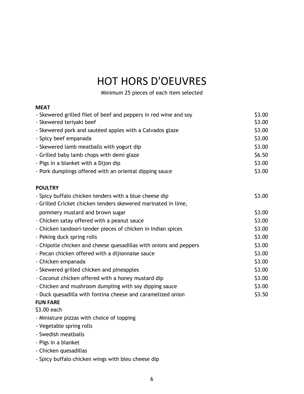## HOT HORS D'OEUVRES

Minimum 25 pieces of each item selected

| MEAT                                                              |        |
|-------------------------------------------------------------------|--------|
| - Skewered grilled filet of beef and peppers in red wine and soy  | \$3.00 |
| - Skewered teriyaki beef                                          | \$3.00 |
| - Skewered pork and sautéed apples with a Calvados glaze          | \$3.00 |
| - Spicy beef empanada                                             | \$3.00 |
| - Skewered lamb meatballs with yogurt dip                         | \$3.00 |
| - Grilled baby lamb chops with demi glaze                         | \$6.50 |
| - Pigs in a blanket with a Dijon dip                              | \$3.00 |
| - Pork dumplings offered with an oriental dipping sauce           | \$3.00 |
| <b>POULTRY</b>                                                    |        |
| - Spicy buffalo chicken tenders with a blue cheese dip            | \$3.00 |
| - Grilled Cricket chicken tenders skewered marinated in lime,     |        |
| pommery mustard and brown sugar                                   | \$3.00 |
| - Chicken satay offered with a peanut sauce                       | \$3.00 |
| - Chicken tandoori-tender pieces of chicken in Indian spices      | \$3.00 |
| - Peking duck spring rolls                                        | \$3.00 |
| - Chipotle chicken and cheese quesadillas with onions and peppers | \$3.00 |
| - Pecan chicken offered with a dijionnaise sauce                  | \$3.00 |
| - Chicken empanada                                                | \$3.00 |
| - Skewered grilled chicken and pineapples                         | \$3.00 |
| - Coconut chicken offered with a honey mustard dip                | \$3.00 |
| - Chicken and mushroom dumpling with soy dipping sauce            | \$3.00 |
| - Duck quesadilla with fontina cheese and caramelized onion       | \$3.50 |
| <b>FUN FARE</b>                                                   |        |
| \$3.00 each                                                       |        |
| - Miniature pizzas with choice of topping                         |        |
| - Vegetable spring rolls                                          |        |
| - Swedish meatballs                                               |        |
| - Pigs in a blanket                                               |        |
| - Chicken quesadillas                                             |        |
| - Spicy buffalo chicken wings with bleu cheese dip                |        |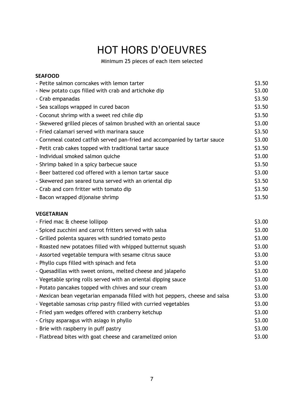## HOT HORS D'OEUVRES

Minimum 25 pieces of each item selected

| <b>SEAFOOD</b>                                                             |        |
|----------------------------------------------------------------------------|--------|
| - Petite salmon corncakes with lemon tarter                                | \$3.50 |
| - New potato cups filled with crab and artichoke dip                       | \$3.00 |
| - Crab empanadas                                                           | \$3.50 |
| - Sea scallops wrapped in cured bacon                                      | \$3.50 |
| - Coconut shrimp with a sweet red chile dip                                | \$3.50 |
| - Skewered grilled pieces of salmon brushed with an oriental sauce         | \$3.00 |
| - Fried calamari served with marinara sauce                                | \$3.50 |
| - Cornmeal coated catfish served pan-fried and accompanied by tartar sauce | \$3.00 |
| - Petit crab cakes topped with traditional tartar sauce                    | \$3.50 |
| - Individual smoked salmon quiche                                          | \$3.00 |
| - Shrimp baked in a spicy barbecue sauce                                   | \$3.50 |
| - Beer battered cod offered with a lemon tartar sauce                      | \$3.00 |
| - Skewered pan seared tuna served with an oriental dip                     | \$3.50 |
| - Crab and corn fritter with tomato dip                                    | \$3.50 |
| - Bacon wrapped dijonaise shrimp                                           | \$3.50 |
| <b>VEGETARIAN</b>                                                          |        |

| - Fried mac & cheese lollipop                                                | \$3.00 |
|------------------------------------------------------------------------------|--------|
| - Spiced zucchini and carrot fritters served with salsa                      | \$3.00 |
| - Grilled polenta squares with sundried tomato pesto                         | \$3.00 |
| - Roasted new potatoes filled with whipped butternut squash                  | \$3.00 |
| - Assorted vegetable tempura with sesame citrus sauce                        | \$3.00 |
| - Phyllo cups filled with spinach and feta                                   | \$3.00 |
| - Quesadillas with sweet onions, melted cheese and jalapeño                  | \$3.00 |
| - Vegetable spring rolls served with an oriental dipping sauce               | \$3.00 |
| - Potato pancakes topped with chives and sour cream                          | \$3.00 |
| - Mexican bean vegetarian empanada filled with hot peppers, cheese and salsa | \$3.00 |
| - Vegetable samosas crisp pastry filled with curried vegetables              | \$3.00 |
| - Fried yam wedges offered with cranberry ketchup                            | \$3.00 |
| - Crispy asparagus with asiago in phyllo                                     | \$3.00 |
| - Brie with raspberry in puff pastry                                         | \$3.00 |
| - Flatbread bites with goat cheese and caramelized onion                     | \$3.00 |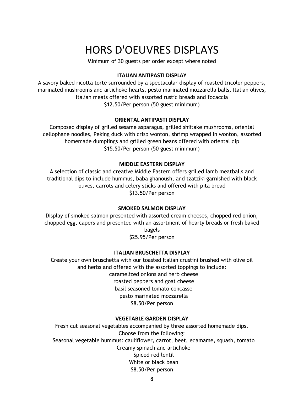## HORS D'OEUVRES DISPLAYS

Minimum of 30 guests per order except where noted

### **ITALIAN ANTIPASTI DISPLAY**

A savory baked ricotta torte surrounded by a spectacular display of roasted tricolor peppers, marinated mushrooms and artichoke hearts, pesto marinated mozzarella balls, Italian olives, Italian meats offered with assorted rustic breads and focaccia \$12.50/Per person (50 guest minimum)

#### **ORIENTAL ANTIPASTI DISPLAY**

Composed display of grilled sesame asparagus, grilled shiitake mushrooms, oriental cellophane noodles, Peking duck with crisp wonton, shrimp wrapped in wonton, assorted homemade dumplings and grilled green beans offered with oriental dip \$15.50/Per person (50 guest minimum)

#### **MIDDLE EASTERN DISPLAY**

A selection of classic and creative Middle Eastern offers grilled lamb meatballs and traditional dips to include hummus, baba ghanoush, and tzatziki garnished with black olives, carrots and celery sticks and offered with pita bread \$13.50/Per person

### **SMOKED SALMON DISPLAY**

Display of smoked salmon presented with assorted cream cheeses, chopped red onion, chopped egg, capers and presented with an assortment of hearty breads or fresh baked bagels

\$25.95/Per person

#### **ITALIAN BRUSCHETTA DISPLAY**

Create your own bruschetta with our toasted Italian crustini brushed with olive oil and herbs and offered with the assorted toppings to include: caramelized onions and herb cheese roasted peppers and goat cheese basil seasoned tomato concasse pesto marinated mozzarella

\$8.50/Per person

### **VEGETABLE GARDEN DISPLAY**

Fresh cut seasonal vegetables accompanied by three assorted homemade dips. Choose from the following: Seasonal vegetable hummus: cauliflower, carrot, beet, edamame, squash, tomato Creamy spinach and artichoke Spiced red lentil White or black bean \$8.50/Per person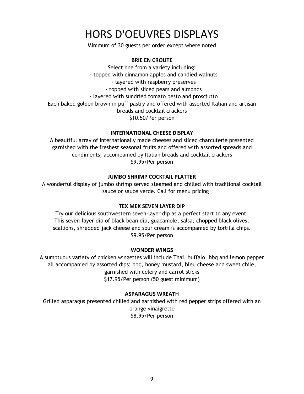## HORS D'OEUVRES DISPLAYS

Minimum of 30 guests per order except where noted

### **BRIE EN CROUTE**

Select one from a variety including: - topped with cinnamon apples and candied walnuts - layered with raspberry preserves - topped with sliced pears and almonds - layered with sundried tomato pesto and prosciutto Each baked golden brown in puff pastry and offered with assorted Italian and artisan breads and cocktail crackers \$10.50/Per person

### **INTERNATIONAL CHEESE DISPLAY**

A beautiful array of internationally made cheeses and sliced charcuterie presented garnished with the freshest seasonal fruits and offered with assorted spreads and condiments, accompanied by Italian breads and cocktail crackers \$9.95/Per person

### **JUMBO SHRIMP COCKTAIL PLATTER**

A wonderful display of jumbo shrimp served steamed and chilled with traditional cocktail sauce or sauce verde. Call for menu pricing

### **TEX MEX SEVEN LAYER DIP**

Try our delicious southwestern seven-layer dip as a perfect start to any event. This seven-layer dip of black bean dip, guacamole, salsa, chopped black olives, scallions, shredded jack cheese and sour cream is accompanied by tortilla chips. \$9.95/Per person

### **WONDER WINGS**

A sumptuous variety of chicken wingettes will include Thai, buffalo, bbq and lemon pepper all accompanied by assorted dips; bbq, honey mustard, bleu cheese and sweet chile, garnished with celery and carrot sticks \$17.95/Per person (50 guest minimum)

## **ASPARAGUS WREATH**

Grilled asparagus presented chilled and garnished with red pepper strips offered with an orange vinaigrette \$8.95/Per person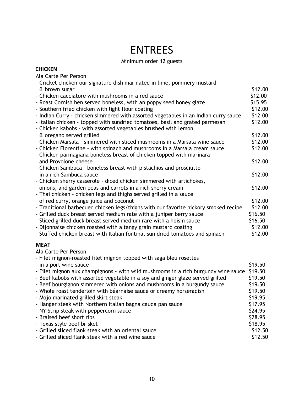## ENTREES

## Minimum order 12 guests

### **CHICKEN**

Ala Carte Per Person

|                      | - Cricket chicken-our signature dish marinated in lime, pommery mustard             |         |
|----------------------|-------------------------------------------------------------------------------------|---------|
| & brown sugar        |                                                                                     | \$12.00 |
|                      | - Chicken cacciatore with mushrooms in a red sauce                                  | \$12.00 |
|                      | - Roast Cornish hen served boneless, with an poppy seed honey glaze                 | \$15.95 |
|                      | - Southern fried chicken with light flour coating                                   | \$12.00 |
|                      | - Indian Curry - chicken simmered with assorted vegetables in an Indian curry sauce | \$12.00 |
|                      | - Italian chicken - topped with sundried tomatoes, basil and grated parmesan        | \$12.00 |
|                      | - Chicken kabobs - with assorted vegetables brushed with lemon                      |         |
|                      | & oregano served grilled                                                            | \$12.00 |
|                      | - Chicken Marsala - simmered with sliced mushrooms in a Marsala wine sauce          | \$12.00 |
|                      | - Chicken Florentine - with spinach and mushrooms in a Marsala cream sauce          | \$12.00 |
|                      | - Chicken parmagiana boneless breast of chicken topped with marinara                |         |
|                      | and Provolone cheese                                                                | \$12.00 |
|                      | - Chicken Sambuca - boneless breast with pistachios and prosciutto                  |         |
|                      | in a rich Sambuca sauce                                                             | \$12.00 |
|                      | - Chicken sherry casserole - diced chicken simmered with artichokes,                |         |
|                      | onions, and garden peas and carrots in a rich sherry cream                          | \$12.00 |
|                      | - Thai chicken - chicken legs and thighs served grilled in a sauce                  |         |
|                      | of red curry, orange juice and coconut                                              | \$12.00 |
|                      | - Traditional barbecued chicken legs/thighs with our favorite hickory smoked recipe | \$12.00 |
|                      | - Grilled duck breast served medium rate with a juniper berry sauce                 | \$16.50 |
|                      | - Sliced grilled duck breast served medium rare with a hoisin sauce                 | \$16.50 |
|                      | - Dijonnaise chicken roasted with a tangy grain mustard coating                     | \$12.00 |
|                      | - Stuffed chicken breast with Italian fontina, sun dried tomatoes and spinach       | \$12.00 |
|                      |                                                                                     |         |
| <b>MEAT</b>          |                                                                                     |         |
| Ala Carte Per Person |                                                                                     |         |
|                      | - Filet mignon-roasted filet mignon topped with saga bleu rosettes                  |         |
|                      | in a port wine sauce                                                                | \$19.50 |
|                      | - Filet mignon aux champignons - with wild mushrooms in a rich burgundy wine sauce  | \$19.50 |
|                      | - Beef kabobs with assorted vegetable in a soy and ginger glaze served grilled      | \$19.50 |
|                      | - Beef bourgignon simmered with onions and mushrooms in a burgundy sauce            | \$19.50 |
|                      | - Whole roast tenderloin with béarnaise sauce or creamy horseradish                 | \$19.50 |
|                      | - Mojo marinated grilled skirt steak                                                | \$19.95 |
|                      | - Hanger steak with Northern Italian bagna cauda pan sauce                          | \$17.95 |
|                      | - NY Strip steak with peppercorn sauce                                              | \$24.95 |
|                      | - Braised beef short ribs                                                           | \$28.95 |
|                      | - Texas style beef brisket                                                          | \$18.95 |
|                      | - Grilled sliced flank steak with an oriental sauce                                 | \$12.50 |
|                      | - Grilled sliced flank steak with a red wine sauce                                  | \$12.50 |
|                      |                                                                                     |         |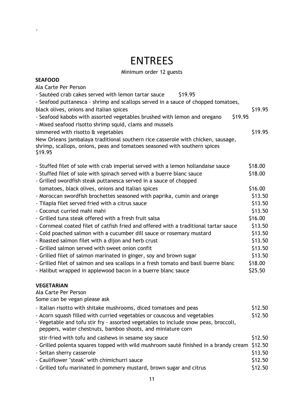## ENTREES

-

## Minimum order 12 guests

| <b>SEAFOOD</b>                                                                                                                                                           |         |
|--------------------------------------------------------------------------------------------------------------------------------------------------------------------------|---------|
| Ala Carte Per Person                                                                                                                                                     |         |
| - Sautéed crab cakes served with lemon tartar sauce<br>\$19.95                                                                                                           |         |
| - Seafood puttanesca - shrimp and scallops served in a sauce of chopped tomatoes,                                                                                        |         |
| black olives, onions and Italian spices                                                                                                                                  | \$19.95 |
| - Seafood kabobs with assorted vegetables brushed with lemon and oregano<br>\$19.95                                                                                      |         |
| - Mixed seafood risotto shrimp squid, clams and mussels                                                                                                                  |         |
| simmered with risotto & vegetables                                                                                                                                       | \$19.95 |
| New Orleans jambalaya traditional southern rice casserole with chicken, sausage,<br>shrimp, scallops, onions, peas and tomatoes seasoned with southern spices<br>\$19.95 |         |
| - Stuffed filet of sole with crab imperial served with a lemon hollandaise sauce                                                                                         | \$18.00 |
| - Stuffed filet of sole with spinach served with a buerre blanc sauce                                                                                                    | \$18.00 |
| - Grilled swordfish steak puttanesca served in a sauce of chopped                                                                                                        |         |
| tomatoes, black olives, onions and Italian spices                                                                                                                        | \$16.00 |
| - Moroccan swordfish brochettes seasoned with paprika, cumin and orange                                                                                                  | \$13.50 |
| - Tilapia filet served fried with a citrus sauce                                                                                                                         | \$13.50 |
| - Coconut curried mahi mahi                                                                                                                                              | \$13.50 |
| - Grilled tuna steak offered with a fresh fruit salsa                                                                                                                    | \$16.00 |
| - Cornmeal coated filet of catfish fried and offered with a traditional tartar sauce                                                                                     | \$13.50 |
| - Cold poached salmon with a cucumber dill sauce or rosemary mustard                                                                                                     | \$13.50 |
| - Roasted salmon filet with a dijon and herb crust                                                                                                                       | \$13.50 |
| - Grilled salmon served with sweet onion confit                                                                                                                          | \$13.50 |
| - Grilled filet of salmon marinated in ginger, soy and brown sugar                                                                                                       | \$13.50 |
| - Grilled filet of salmon and sea scallops in a fresh tomato and basil buerre blanc                                                                                      | \$18.00 |
| - Halibut wrapped in applewood bacon in a buerre blanc sauce                                                                                                             | \$25.50 |
| <b>VEGETARIAN</b><br>Ala Carte Per Person<br>Some can be vegan please ask                                                                                                |         |
| - Italian risotto with shitake mushrooms, diced tomatoes and peas                                                                                                        | \$12.50 |
| - Acorn squash filled with curried vegetables or couscous and vegetables                                                                                                 | \$12.50 |
| - Vegetable and tofu stir fry - assorted vegetables to include snow peas, broccoli,<br>peppers, water chestnuts, bamboo shoots, and miniature corn                       |         |
| stir-fried with tofu and cashews in sesame soy sauce                                                                                                                     | \$12.50 |
| - Grilled polenta squares topped with wild mushroom sauté finished in a brandy cream                                                                                     | \$12.50 |
| - Seitan sherry casserole                                                                                                                                                | \$13.50 |
| - Cauliflower "steak" with chimichurri sauce                                                                                                                             | \$12.50 |
| - Grilled tofu marinated in pommery mustard, brown sugar and citrus                                                                                                      | \$12.50 |

11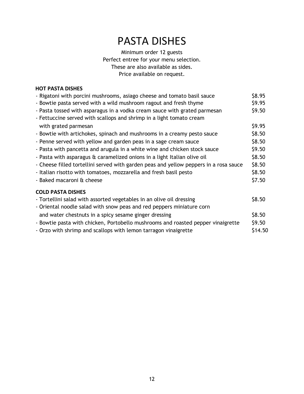## PASTA DISHES

Minimum order 12 guests Perfect entree for your menu selection. These are also available as sides. Price available on request.

### **HOT PASTA DISHES**

| - Rigatoni with porcini mushrooms, asiago cheese and tomato basil sauce               | \$8.95  |
|---------------------------------------------------------------------------------------|---------|
| - Bowtie pasta served with a wild mushroom ragout and fresh thyme                     | \$9.95  |
| - Pasta tossed with asparagus in a vodka cream sauce with grated parmesan             | \$9.50  |
| - Fettuccine served with scallops and shrimp in a light tomato cream                  |         |
| with grated parmesan                                                                  | \$9.95  |
| - Bowtie with artichokes, spinach and mushrooms in a creamy pesto sauce               | \$8.50  |
| - Penne served with yellow and garden peas in a sage cream sauce                      | \$8.50  |
| - Pasta with pancetta and arugula in a white wine and chicken stock sauce             | \$9.50  |
| - Pasta with asparagus & caramelized onions in a light Italian olive oil              | \$8.50  |
| - Cheese filled tortellini served with garden peas and yellow peppers in a rosa sauce | \$8.50  |
| - Italian risotto with tomatoes, mozzarella and fresh basil pesto                     | \$8.50  |
| - Baked macaroni & cheese                                                             | \$7.50  |
| <b>COLD PASTA DISHES</b>                                                              |         |
| - Tortellini salad with assorted vegetables in an olive oil dressing                  | \$8.50  |
| - Oriental noodle salad with snow peas and red peppers miniature corn                 |         |
| and water chestnuts in a spicy sesame ginger dressing                                 | \$8.50  |
| - Bowtie pasta with chicken, Portobello mushrooms and roasted pepper vinaigrette      | \$9.50  |
| - Orzo with shrimp and scallops with lemon tarragon vinaigrette                       | \$14.50 |
|                                                                                       |         |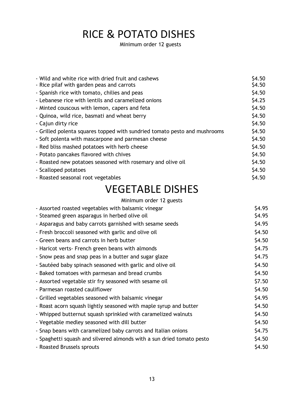## RICE & POTATO DISHES

Minimum order 12 guests

| - Wild and white rice with dried fruit and cashews                        | \$4.50\$ |
|---------------------------------------------------------------------------|----------|
| - Rice pilaf with garden peas and carrots                                 | \$4.50   |
| - Spanish rice with tomato, chilies and peas                              | \$4.50   |
| - Lebanese rice with lentils and caramelized onions                       | \$4.25   |
| - Minted couscous with lemon, capers and feta                             | \$4.50   |
| - Quinoa, wild rice, basmati and wheat berry                              | \$4.50   |
| - Cajun dirty rice                                                        | \$4.50   |
| - Grilled polenta squares topped with sundried tomato pesto and mushrooms | \$4.50   |
| - Soft polenta with mascarpone and parmesan cheese                        | \$4.50   |
| - Red bliss mashed potatoes with herb cheese                              | \$4.50   |
| - Potato pancakes flavored with chives                                    | \$4.50   |
| - Roasted new potatoes seasoned with rosemary and olive oil               | \$4.50   |
| - Scalloped potatoes                                                      | \$4.50   |
| - Roasted seasonal root vegetables                                        | \$4.50   |
|                                                                           |          |

## VEGETABLE DISHES

| Minimum order 12 guests                                               |        |
|-----------------------------------------------------------------------|--------|
| - Assorted roasted vegetables with balsamic vinegar                   | \$4.95 |
| - Steamed green asparagus in herbed olive oil                         | \$4.95 |
| - Asparagus and baby carrots garnished with sesame seeds              | \$4.95 |
| - Fresh broccoli seasoned with garlic and olive oil                   | \$4.50 |
| - Green beans and carrots in herb butter                              | \$4.50 |
| - Haricot verts- French green beans with almonds                      | \$4.75 |
| - Snow peas and snap peas in a butter and sugar glaze                 | \$4.75 |
| - Sautéed baby spinach seasoned with garlic and olive oil             | \$4.50 |
| - Baked tomatoes with parmesan and bread crumbs                       | \$4.50 |
| - Assorted vegetable stir fry seasoned with sesame oil                | \$7.50 |
| - Parmesan roasted cauliflower                                        | \$4.50 |
| - Grilled vegetables seasoned with balsamic vinegar                   | \$4.95 |
| - Roast acorn squash lightly seasoned with maple syrup and butter     | \$4.50 |
| - Whipped butternut squash sprinkled with caramelized walnuts         | \$4.50 |
| - Vegetable medley seasoned with dill butter                          | \$4.50 |
| - Snap beans with caramelized baby carrots and Italian onions         | \$4.75 |
| - Spaghetti squash and silvered almonds with a sun dried tomato pesto | \$4.50 |
| - Roasted Brussels sprouts                                            | \$4.50 |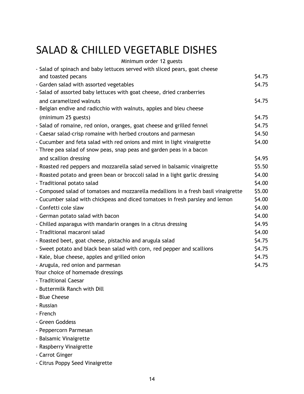## SALAD & CHILLED VEGETABLE DISHES

| Minimum order 12 guests                                                             |        |
|-------------------------------------------------------------------------------------|--------|
| - Salad of spinach and baby lettuces served with sliced pears, goat cheese          |        |
| and toasted pecans                                                                  | \$4.75 |
| - Garden salad with assorted vegetables                                             | \$4.75 |
| - Salad of assorted baby lettuces with goat cheese, dried cranberries               |        |
| and caramelized walnuts                                                             | \$4.75 |
| - Belgian endive and radicchio with walnuts, apples and bleu cheese                 |        |
| (minimum 25 guests)                                                                 | \$4.75 |
| - Salad of romaine, red onion, oranges, goat cheese and grilled fennel              | \$4.75 |
| - Caesar salad-crisp romaine with herbed croutons and parmesan                      | \$4.50 |
| - Cucumber and feta salad with red onions and mint in light vinaigrette             | \$4.00 |
| - Three pea salad of snow peas, snap peas and garden peas in a bacon                |        |
| and scallion dressing                                                               | \$4.95 |
| - Roasted red peppers and mozzarella salad served in balsamic vinaigrette           | \$5.50 |
| - Roasted potato and green bean or broccoli salad in a light garlic dressing        | \$4.00 |
| - Traditional potato salad                                                          | \$4.00 |
| - Composed salad of tomatoes and mozzarella medallions in a fresh basil vinaigrette | \$5.00 |
| - Cucumber salad with chickpeas and diced tomatoes in fresh parsley and lemon       | \$4.00 |
| - Confetti cole slaw                                                                | \$4.00 |
| - German potato salad with bacon                                                    | \$4.00 |
| - Chilled asparagus with mandarin oranges in a citrus dressing                      | \$4.95 |
| - Traditional macaroni salad                                                        | \$4.00 |
| - Roasted beet, goat cheese, pistachio and arugula salad                            | \$4.75 |
| - Sweet potato and black bean salad with corn, red pepper and scallions             | \$4.75 |
| - Kale, blue cheese, apples and grilled onion                                       | \$4.75 |
| - Arugula, red onion and parmesan                                                   | \$4.75 |
| Your choice of homemade dressings                                                   |        |
| - Traditional Caesar                                                                |        |
| - Buttermilk Ranch with Dill                                                        |        |
| - Blue Cheese                                                                       |        |
| - Russian                                                                           |        |
| - French                                                                            |        |

- Green Goddess
- Peppercorn Parmesan
- Balsamic Vinaigrette
- Raspberry Vinaigrette
- Carrot Ginger
- Citrus Poppy Seed Vinaigrette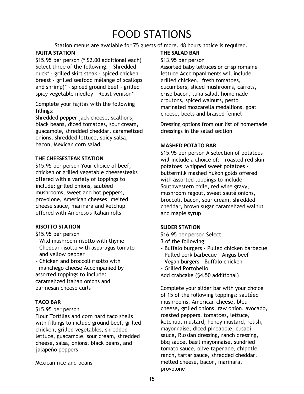## FOOD STATIONS

Station menus are available for 75 guests of more. 48 hours notice is required.

## **FAJITA STATION**

\$15.95 per person (\* \$2.00 additional each) Select three of the following: - Shredded duck\* - grilled skirt steak - spiced chicken breast - grilled seafood mélange of scallops and shrimp)\* - spiced ground beef - grilled spicy vegetable medley - Roast venison\*

Complete your fajitas with the following fillings:

Shredded pepper jack cheese, scallions, black beans, diced tomatoes, sour cream, guacamole, shredded cheddar, caramelized onions, shredded lettuce, spicy salsa, bacon, Mexican corn salad

## **THE CHEESESTEAK STATION**

\$15.95 per person Your choice of beef, chicken or grilled vegetable cheesesteaks offered with a variety of toppings to include: grilled onions, sautéed mushrooms, sweet and hot peppers, provolone, American cheeses, melted cheese sauce, marinara and ketchup offered with Amoroso's Italian rolls

## **RISOTTO STATION**

\$15.95 per person

- Wild mushroom risotto with thyme
- Cheddar risotto with asparagus tomato and yellow pepper
- Chicken and broccoli risotto with manchego cheese Accompanied by assorted toppings to include: caramelized Italian onions and parmesan cheese curls

## **TACO BAR**

### \$15.95 per person

Flour Tortillas and corn hard taco shells with fillings to include ground beef, grilled chicken, grilled vegetables, shredded lettuce, guacamole, sour cream, shredded cheese, salsa, onions, black beans, and jalapeño peppers

Mexican rice and beans

### **THE SALAD BAR**

### \$13.95 per person

Assorted baby lettuces or crisp romaine lettuce Accompaniments will include grilled chicken, fresh tomatoes, cucumbers, sliced mushrooms, carrots, crisp bacon, tuna salad, homemade croutons, spiced walnuts, pesto marinated mozzarella medallions, goat cheese, beets and braised fennel

Dressing options from our list of homemade dressings in the salad section

## **MASHED POTATO BAR**

\$15.95 per person A selection of potatoes will include a choice of: - roasted red skin potatoes whipped sweet potatoes buttermilk mashed Yukon golds offered with assorted toppings to include Southwestern chile, red wine gravy, mushroom ragout, sweet sauté onions, broccoli, bacon, sour cream, shredded cheddar, brown sugar caramelized walnut and maple syrup

### **SLIDER STATION**

- \$16.95 per person Select
- 3 of the following:
- Buffalo burgers Pulled chicken barbecue
- Pulled pork barbecue Angus beef
- Vegan burgers Buffalo chicken
- Grilled Portobello

Add crabcake (\$4.50 additional)

Complete your slider bar with your choice of 15 of the following toppings: sautéed mushrooms, American cheese, bleu cheese, grilled onions, raw onion, avocado, roasted peppers, tomatoes, lettuce, ketchup, mustard, honey mustard, relish, mayonnaise, diced pineapple, cusabi sauce, Russian dressing, ranch dressing, bbq sauce, basil mayonnaise, sundried tomato sauce, olive tapenade, chipotle ranch, tartar sauce, shredded cheddar, melted cheese, bacon, marinara, provolone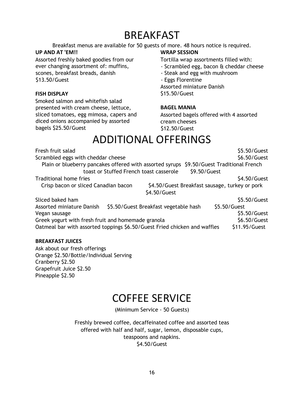## **BREAKFAST**

Breakfast menus are available for 50 guests of more. 48 hours notice is required.

## **UP AND AT 'EM!!**

Assorted freshly baked goodies from our ever changing assortment of: muffins, scones, breakfast breads, danish \$13.50/Guest

### **FISH DISPLAY**

Smoked salmon and whitefish salad presented with cream cheese, lettuce, sliced tomatoes, egg mimosa, capers and diced onions accompanied by assorted bagels \$25.50/Guest

## **WRAP SESSION**

Tortilla wrap assortments filled with:

- Scrambled egg, bacon & cheddar cheese
- Steak and egg with mushroom
- Eggs Florentine

Assorted miniature Danish \$15.50/Guest

### **BAGEL MANIA**

Assorted bagels offered with 4 assorted cream cheeses \$12.50/Guest

## ADDITIONAL OFFERINGS

| Fresh fruit salad                                                                           | \$5.50/Guest  |
|---------------------------------------------------------------------------------------------|---------------|
| Scrambled eggs with cheddar cheese                                                          | \$6.50/Guest  |
| \$9.50/Guest Traditional French<br>Plain or blueberry pancakes offered with assorted syrups |               |
| toast or Stuffed French toast casserole<br>\$9.50/Guest                                     |               |
| Traditional home fries                                                                      | \$4.50/Guest  |
| \$4.50/Guest Breakfast sausage, turkey or pork<br>Crisp bacon or sliced Canadian bacon      |               |
| \$4.50/Guest                                                                                |               |
| Sliced baked ham                                                                            | \$5.50/Guest  |
| \$5.50/Guest Breakfast vegetable hash<br>Assorted miniature Danish<br>\$5.50/Guest          |               |
| Vegan sausage                                                                               | \$5.50/Guest  |
| Greek yogurt with fresh fruit and homemade granola                                          | \$6.50/Guest  |
| Oatmeal bar with assorted toppings \$6.50/Guest Fried chicken and waffles                   | \$11.95/Guest |

### **BREAKFAST JUICES**

Ask about our fresh offerings Orange \$2.50/Bottle/Individual Serving Cranberry \$2.50 Grapefruit Juice \$2.50 Pineapple \$2.50

## COFFEE SERVICE

(Minimum Service - 50 Guests)

Freshly brewed coffee, decaffeinated coffee and assorted teas offered with half and half, sugar, lemon, disposable cups, teaspoons and napkins. \$4.50/Guest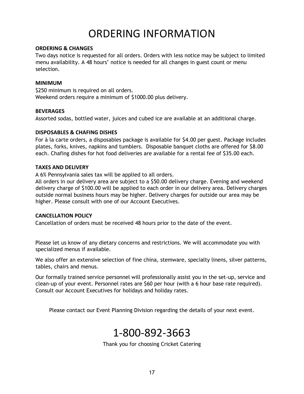## ORDERING INFORMATION

### **ORDERING & CHANGES**

Two days notice is requested for all orders. Orders with less notice may be subject to limited menu availability. A 48 hours' notice is needed for all changes in guest count or menu selection.

### **MINIMUM**

\$250 minimum is required on all orders. Weekend orders require a minimum of \$1000.00 plus delivery.

### **BEVERAGES**

Assorted sodas, bottled water, juices and cubed ice are available at an additional charge.

### **DISPOSABLES & CHAFING DISHES**

For à la carte orders, a disposables package is available for \$4.00 per guest. Package includes plates, forks, knives, napkins and tumblers. Disposable banquet cloths are offered for \$8.00 each. Chafing dishes for hot food deliveries are available for a rental fee of \$35.00 each.

### **TAXES AND DELIVERY**

A 6% Pennsylvania sales tax will be applied to all orders.

All orders in our delivery area are subject to a \$50.00 delivery charge. Evening and weekend delivery charge of \$100.00 will be applied to each order in our delivery area. Delivery charges outside normal business hours may be higher. Delivery charges for outside our area may be higher. Please consult with one of our Account Executives.

### **CANCELLATION POLICY**

Cancellation of orders must be received 48 hours prior to the date of the event.

Please let us know of any dietary concerns and restrictions. We will accommodate you with specialized menus if available.

We also offer an extensive selection of fine china, stemware, specialty linens, silver patterns, tables, chairs and menus.

Our formally trained service personnel will professionally assist you in the set-up, service and clean-up of your event. Personnel rates are \$60 per hour (with a 6 hour base rate required). Consult our Account Executives for holidays and holiday rates.

Please contact our Event Planning Division regarding the details of your next event.

## 1-800-892-3663

Thank you for choosing Cricket Catering